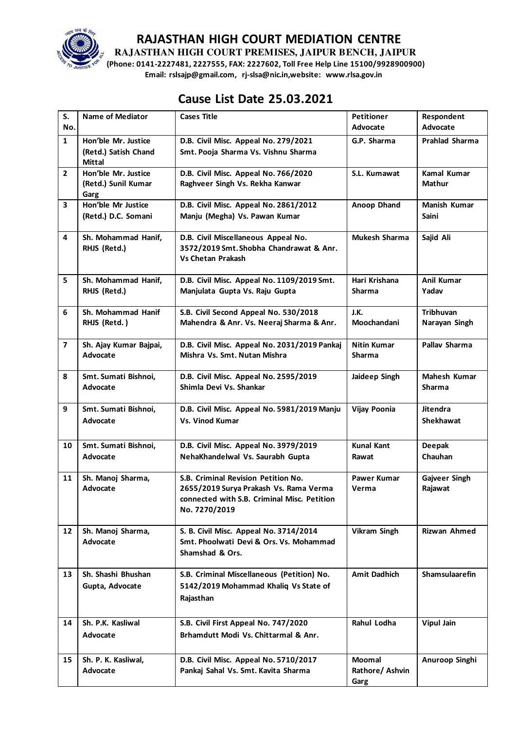

**RAJASTHAN HIGH COURT PREMISES, JAIPUR BENCH, JAIPUR** 

**(Phone: 0141-2227481, 2227555, FAX: 2227602, Toll Free Help Line 15100/9928900900) Email: rslsajp@gmail.com, rj-slsa@nic.in,website: www.rlsa.gov.in** 

# **Cause List Date 25.03.2021**

| S.                      | <b>Name of Mediator</b>                                      | <b>Cases Title</b>                                                                                                                            | <b>Petitioner</b>                        | Respondent                          |
|-------------------------|--------------------------------------------------------------|-----------------------------------------------------------------------------------------------------------------------------------------------|------------------------------------------|-------------------------------------|
| No.                     |                                                              |                                                                                                                                               | Advocate                                 | Advocate                            |
| $\mathbf{1}$            | Hon'ble Mr. Justice<br>(Retd.) Satish Chand<br><b>Mittal</b> | D.B. Civil Misc. Appeal No. 279/2021<br>Smt. Pooja Sharma Vs. Vishnu Sharma                                                                   | G.P. Sharma                              | <b>Prahlad Sharma</b>               |
| $\overline{2}$          | Hon'ble Mr. Justice<br>(Retd.) Sunil Kumar<br>Garg           | D.B. Civil Misc. Appeal No. 766/2020<br>Raghveer Singh Vs. Rekha Kanwar                                                                       | S.L. Kumawat                             | <b>Kamal Kumar</b><br><b>Mathur</b> |
| 3                       | Hon'ble Mr Justice<br>(Retd.) D.C. Somani                    | D.B. Civil Misc. Appeal No. 2861/2012<br>Manju (Megha) Vs. Pawan Kumar                                                                        | Anoop Dhand                              | <b>Manish Kumar</b><br><b>Saini</b> |
| 4                       | Sh. Mohammad Hanif,<br>RHJS (Retd.)                          | D.B. Civil Miscellaneous Appeal No.<br>3572/2019 Smt. Shobha Chandrawat & Anr.<br><b>Vs Chetan Prakash</b>                                    | <b>Mukesh Sharma</b>                     | Sajid Ali                           |
| 5                       | Sh. Mohammad Hanif,<br>RHJS (Retd.)                          | D.B. Civil Misc. Appeal No. 1109/2019 Smt.<br>Manjulata Gupta Vs. Raju Gupta                                                                  | Hari Krishana<br>Sharma                  | <b>Anil Kumar</b><br>Yadav          |
| 6                       | Sh. Mohammad Hanif<br>RHJS (Retd.)                           | S.B. Civil Second Appeal No. 530/2018<br>Mahendra & Anr. Vs. Neeraj Sharma & Anr.                                                             | J.K.<br>Moochandani                      | Tribhuvan<br>Narayan Singh          |
| $\overline{\mathbf{z}}$ | Sh. Ajay Kumar Bajpai,<br>Advocate                           | D.B. Civil Misc. Appeal No. 2031/2019 Pankaj<br>Mishra Vs. Smt. Nutan Mishra                                                                  | Nitin Kumar<br><b>Sharma</b>             | Pallav Sharma                       |
| 8                       | Smt. Sumati Bishnoi,<br>Advocate                             | D.B. Civil Misc. Appeal No. 2595/2019<br>Shimla Devi Vs. Shankar                                                                              | Jaideep Singh                            | Mahesh Kumar<br><b>Sharma</b>       |
| 9                       | Smt. Sumati Bishnoi,<br>Advocate                             | D.B. Civil Misc. Appeal No. 5981/2019 Manju<br><b>Vs. Vinod Kumar</b>                                                                         | Vijay Poonia                             | <b>Jitendra</b><br><b>Shekhawat</b> |
| 10                      | Smt. Sumati Bishnoi,<br>Advocate                             | D.B. Civil Misc. Appeal No. 3979/2019<br>NehaKhandelwal Vs. Saurabh Gupta                                                                     | <b>Kunal Kant</b><br>Rawat               | <b>Deepak</b><br>Chauhan            |
| 11                      | Sh. Manoj Sharma,<br>Advocate                                | S.B. Criminal Revision Petition No.<br>2655/2019 Surya Prakash Vs. Rama Verma<br>connected with S.B. Criminal Misc. Petition<br>No. 7270/2019 | <b>Pawer Kumar</b><br>Verma              | Gajveer Singh<br>Rajawat            |
| 12                      | Sh. Manoj Sharma,<br>Advocate                                | S. B. Civil Misc. Appeal No. 3714/2014<br>Smt. Phoolwati Devi & Ors. Vs. Mohammad<br>Shamshad & Ors.                                          | Vikram Singh                             | <b>Rizwan Ahmed</b>                 |
| 13                      | Sh. Shashi Bhushan<br>Gupta, Advocate                        | S.B. Criminal Miscellaneous (Petition) No.<br>5142/2019 Mohammad Khaliq Vs State of<br>Rajasthan                                              | <b>Amit Dadhich</b>                      | <b>Shamsulaarefin</b>               |
| 14                      | Sh. P.K. Kasliwal<br>Advocate                                | S.B. Civil First Appeal No. 747/2020<br>Brhamdutt Modi Vs. Chittarmal & Anr.                                                                  | Rahul Lodha                              | <b>Vipul Jain</b>                   |
| 15                      | Sh. P. K. Kasliwal,<br>Advocate                              | D.B. Civil Misc. Appeal No. 5710/2017<br>Pankaj Sahal Vs. Smt. Kavita Sharma                                                                  | <b>Moomal</b><br>Rathore/ Ashvin<br>Garg | Anuroop Singhi                      |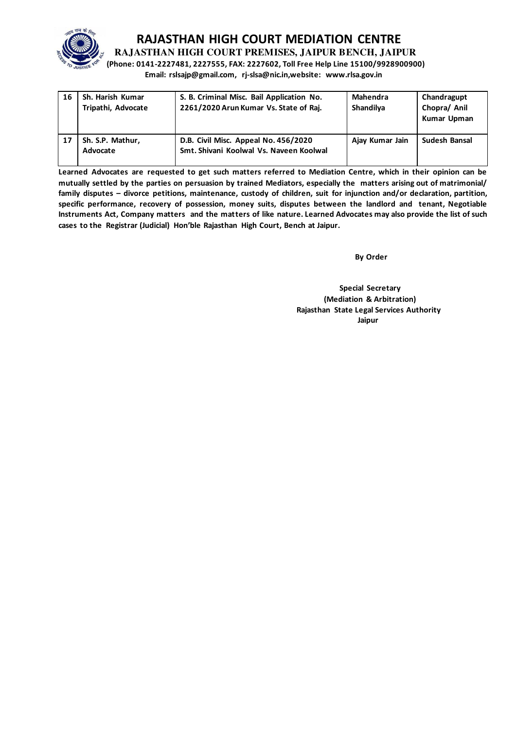

**RAJASTHAN HIGH COURT PREMISES, JAIPUR BENCH, JAIPUR** 

**(Phone: 0141-2227481, 2227555, FAX: 2227602, Toll Free Help Line 15100/9928900900) Email: rslsajp@gmail.com, rj-slsa@nic.in,website: www.rlsa.gov.in** 

| 16 | Sh. Harish Kumar<br>Tripathi, Advocate | S. B. Criminal Misc. Bail Application No.<br>2261/2020 Arun Kumar Vs. State of Raj. | Mahendra<br>Shandilya | Chandragupt<br>Chopra/ Anil<br>Kumar Upman |
|----|----------------------------------------|-------------------------------------------------------------------------------------|-----------------------|--------------------------------------------|
| 17 | Sh. S.P. Mathur,<br>Advocate           | D.B. Civil Misc. Appeal No. 456/2020<br>Smt. Shivani Koolwal Vs. Naveen Koolwal     | Ajay Kumar Jain       | Sudesh Bansal                              |

**Learned Advocates are requested to get such matters referred to Mediation Centre, which in their opinion can be mutually settled by the parties on persuasion by trained Mediators, especially the matters arising out of matrimonial/ family disputes – divorce petitions, maintenance, custody of children, suit for injunction and/or declaration, partition, specific performance, recovery of possession, money suits, disputes between the landlord and tenant, Negotiable Instruments Act, Company matters and the matters of like nature. Learned Advocates may also provide the list of such cases to the Registrar (Judicial) Hon'ble Rajasthan High Court, Bench at Jaipur.** 

**By Order** 

 **Special Secretary (Mediation & Arbitration) Rajasthan State Legal Services Authority**  الم المسابق المسابق المسابق المسابق المسابق المسابق المسابق المسابق المسابق المسابق المسابق المسابق المسابق ا<br>المسابق المسابق المسابق المسابق المسابق المسابق المسابق المسابق المسابق المسابق المسابق المسابق المسابق المس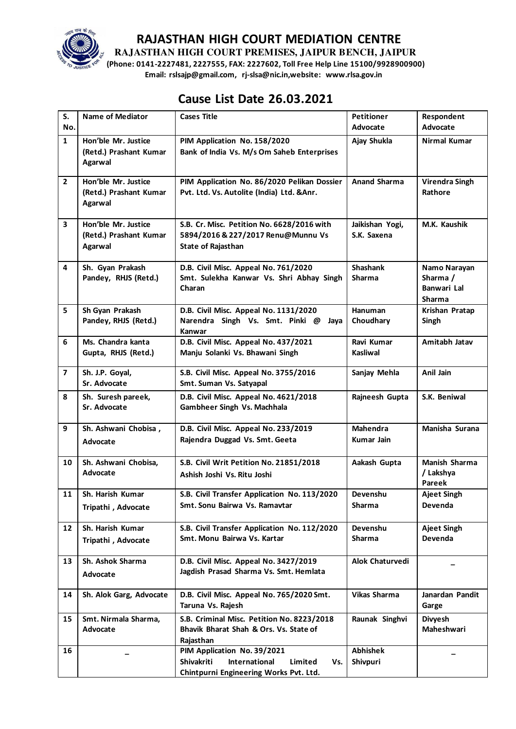

**RAJASTHAN HIGH COURT PREMISES, JAIPUR BENCH, JAIPUR** 

**(Phone: 0141-2227481, 2227555, FAX: 2227602, Toll Free Help Line 15100/9928900900) Email: rslsajp@gmail.com, rj-slsa@nic.in,website: www.rlsa.gov.in** 

# **Cause List Date 26.03.2021**

| S.                      | <b>Name of Mediator</b>                                         | <b>Cases Title</b>                                                                                                     | <b>Petitioner</b>                | Respondent                                               |
|-------------------------|-----------------------------------------------------------------|------------------------------------------------------------------------------------------------------------------------|----------------------------------|----------------------------------------------------------|
| No.                     |                                                                 |                                                                                                                        | Advocate                         | Advocate                                                 |
| $\mathbf{1}$            | Hon'ble Mr. Justice<br>(Retd.) Prashant Kumar<br><b>Agarwal</b> | PIM Application No. 158/2020<br>Bank of India Vs. M/s Om Saheb Enterprises                                             | Ajay Shukla                      | <b>Nirmal Kumar</b>                                      |
| $\overline{2}$          | Hon'ble Mr. Justice<br>(Retd.) Prashant Kumar<br>Agarwal        | PIM Application No. 86/2020 Pelikan Dossier<br>Pvt. Ltd. Vs. Autolite (India) Ltd. & Anr.                              | <b>Anand Sharma</b>              | <b>Virendra Singh</b><br>Rathore                         |
| $\mathbf{3}$            | Hon'ble Mr. Justice<br>(Retd.) Prashant Kumar<br>Agarwal        | S.B. Cr. Misc. Petition No. 6628/2016 with<br>5894/2016 & 227/2017 Renu@Munnu Vs<br><b>State of Rajasthan</b>          | Jaikishan Yogi,<br>S.K. Saxena   | M.K. Kaushik                                             |
| 4                       | Sh. Gyan Prakash<br>Pandey, RHJS (Retd.)                        | D.B. Civil Misc. Appeal No. 761/2020<br>Smt. Sulekha Kanwar Vs. Shri Abhay Singh<br>Charan                             | <b>Shashank</b><br><b>Sharma</b> | Namo Narayan<br>Sharma /<br>Banwari Lal<br><b>Sharma</b> |
| 5                       | Sh Gyan Prakash<br>Pandey, RHJS (Retd.)                         | D.B. Civil Misc. Appeal No. 1131/2020<br>Narendra Singh Vs. Smt. Pinki @<br>Jaya<br>Kanwar                             | <b>Hanuman</b><br>Choudhary      | Krishan Pratap<br>Singh                                  |
| 6                       | Ms. Chandra kanta<br>Gupta, RHJS (Retd.)                        | D.B. Civil Misc. Appeal No. 437/2021<br>Manju Solanki Vs. Bhawani Singh                                                | Ravi Kumar<br><b>Kasliwal</b>    | Amitabh Jatav                                            |
| $\overline{\mathbf{z}}$ | Sh. J.P. Goyal,<br>Sr. Advocate                                 | S.B. Civil Misc. Appeal No. 3755/2016<br>Smt. Suman Vs. Satyapal                                                       | Sanjay Mehla                     | Anil Jain                                                |
| 8                       | Sh. Suresh pareek,<br>Sr. Advocate                              | D.B. Civil Misc. Appeal No. 4621/2018<br>Gambheer Singh Vs. Machhala                                                   | Rajneesh Gupta                   | S.K. Beniwal                                             |
| 9                       | Sh. Ashwani Chobisa,<br>Advocate                                | D.B. Civil Misc. Appeal No. 233/2019<br>Rajendra Duggad Vs. Smt. Geeta                                                 | <b>Mahendra</b><br>Kumar Jain    | Manisha Surana                                           |
| 10                      | Sh. Ashwani Chobisa,<br>Advocate                                | S.B. Civil Writ Petition No. 21851/2018<br>Ashish Joshi Vs. Ritu Joshi                                                 | Aakash Gupta                     | Manish Sharma<br>/ Lakshya<br>Pareek                     |
| 11                      | Sh. Harish Kumar<br>Tripathi, Advocate                          | S.B. Civil Transfer Application No. 113/2020<br>Smt. Sonu Bairwa Vs. Ramavtar                                          | Devenshu<br>Sharma               | <b>Ajeet Singh</b><br>Devenda                            |
| 12                      | Sh. Harish Kumar<br>Tripathi, Advocate                          | S.B. Civil Transfer Application No. 112/2020<br>Smt. Monu Bairwa Vs. Kartar                                            | Devenshu<br><b>Sharma</b>        | <b>Ajeet Singh</b><br><b>Devenda</b>                     |
| 13                      | Sh. Ashok Sharma<br>Advocate                                    | D.B. Civil Misc. Appeal No. 3427/2019<br>Jagdish Prasad Sharma Vs. Smt. Hemlata                                        | Alok Chaturvedi                  |                                                          |
| 14                      | Sh. Alok Garg, Advocate                                         | D.B. Civil Misc. Appeal No. 765/2020 Smt.<br>Taruna Vs. Rajesh                                                         | Vikas Sharma                     | Janardan Pandit<br>Garge                                 |
| 15                      | Smt. Nirmala Sharma,<br>Advocate                                | S.B. Criminal Misc. Petition No. 8223/2018<br>Bhavik Bharat Shah & Ors. Vs. State of<br>Rajasthan                      | Raunak Singhvi                   | <b>Divyesh</b><br>Maheshwari                             |
| 16                      |                                                                 | PIM Application No. 39/2021<br>Shivakriti<br>International<br>Limited<br>Vs.<br>Chintpurni Engineering Works Pvt. Ltd. | <b>Abhishek</b><br>Shivpuri      |                                                          |